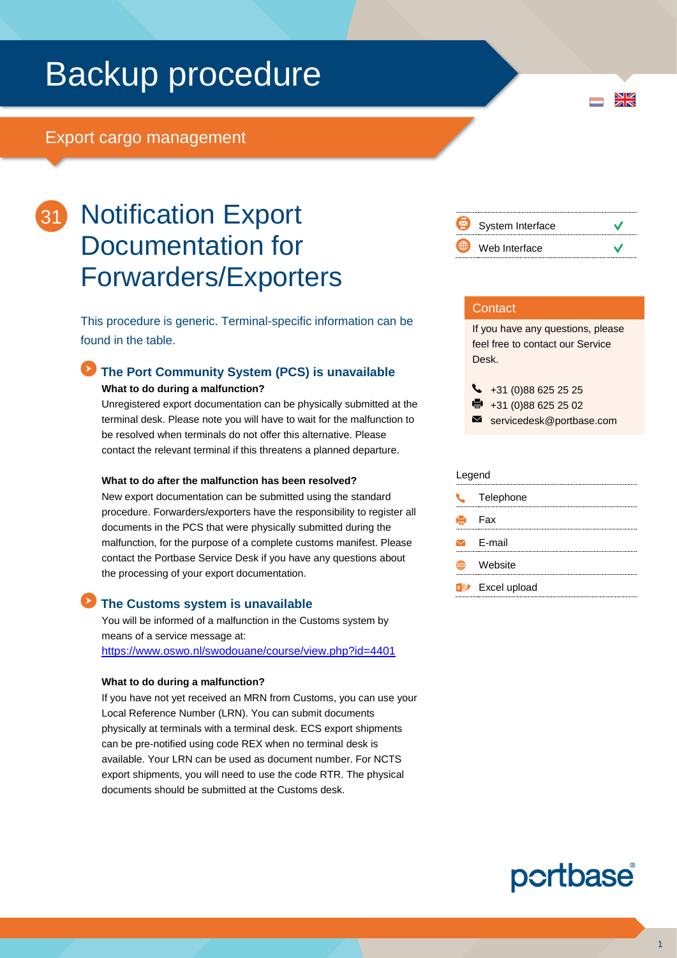# Backup procedure

## Export cargo management



## 31 Notification Export Documentation for Forwarders/Exporters

This procedure is generic. Terminal-specific information can be found in the table.

## **The Port Community System (PCS) is unavailable**

**What to do during a malfunction?**

Unregistered export documentation can be physically submitted at the terminal desk. Please note you will have to wait for the malfunction to be resolved when terminals do not offer this alternative. Please contact the relevant terminal if this threatens a planned departure.

#### **What to do after the malfunction has been resolved?**

New export documentation can be submitted using the standard procedure. Forwarders/exporters have the responsibility to register all documents in the PCS that were physically submitted during the malfunction, for the purpose of a complete customs manifest. Please contact the Portbase Service Desk if you have any questions about the processing of your export documentation.

#### **The Customs system is unavailable**

You will be informed of a malfunction in the Customs system by means of a service message at: <https://www.oswo.nl/swodouane/course/view.php?id=4401>

#### **What to do during a malfunction?**

If you have not yet received an MRN from Customs, you can use your Local Reference Number (LRN). You can submit documents physically at terminals with a terminal desk. ECS export shipments can be pre-notified using code REX when no terminal desk is available. Your LRN can be used as document number. For NCTS export shipments, you will need to use the code RTR. The physical documents should be submitted at the Customs desk.



 $\frac{N}{Z}$ 

#### **Contact**

If you have any questions, please feel free to contact our Service Desk.

 $\bigcup_{+31}$  (0)88 625 25 25

- $\frac{1}{2}$  +31 (0)88 625 25 02
- servicedesk@portbase.com

#### Legend

|  | Telephone                          |  |
|--|------------------------------------|--|
|  | Henri Fax                          |  |
|  | $\triangleright$ E-mail            |  |
|  | Website                            |  |
|  | <b>x</b> <sup>→</sup> Excel upload |  |

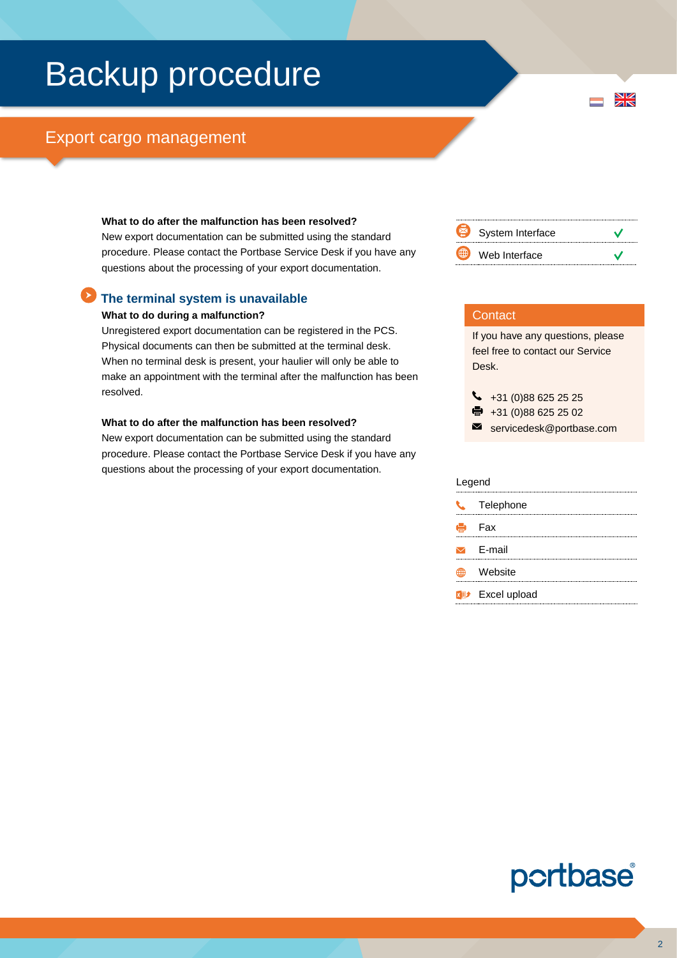# Backup procedure

## Export cargo management

#### **What to do after the malfunction has been resolved?**

New export documentation can be submitted using the standard procedure. Please contact the Portbase Service Desk if you have any questions about the processing of your export documentation.

#### **The terminal system is unavailable**

#### **What to do during a malfunction?**

Unregistered export documentation can be registered in the PCS. Physical documents can then be submitted at the terminal desk. When no terminal desk is present, your haulier will only be able to make an appointment with the terminal after the malfunction has been resolved.

#### **What to do after the malfunction has been resolved?**

New export documentation can be submitted using the standard procedure. Please contact the Portbase Service Desk if you have any questions about the processing of your export documentation.



 $\frac{N}{N}$ 

#### **Contact**

If you have any questions, please feel free to contact our Service Desk.

 $\bigcup$  +31 (0)88 625 25 25

- $\bullet$  +31 (0)88 625 25 02
- servicedesk@portbase.com

| Legend |                                    |  |  |
|--------|------------------------------------|--|--|
| J.     | Telephone                          |  |  |
| е      | – Fax                              |  |  |
|        | $\triangleright$ E-mail            |  |  |
|        | Website                            |  |  |
|        | <b>x</b> <sup>#</sup> Excel upload |  |  |

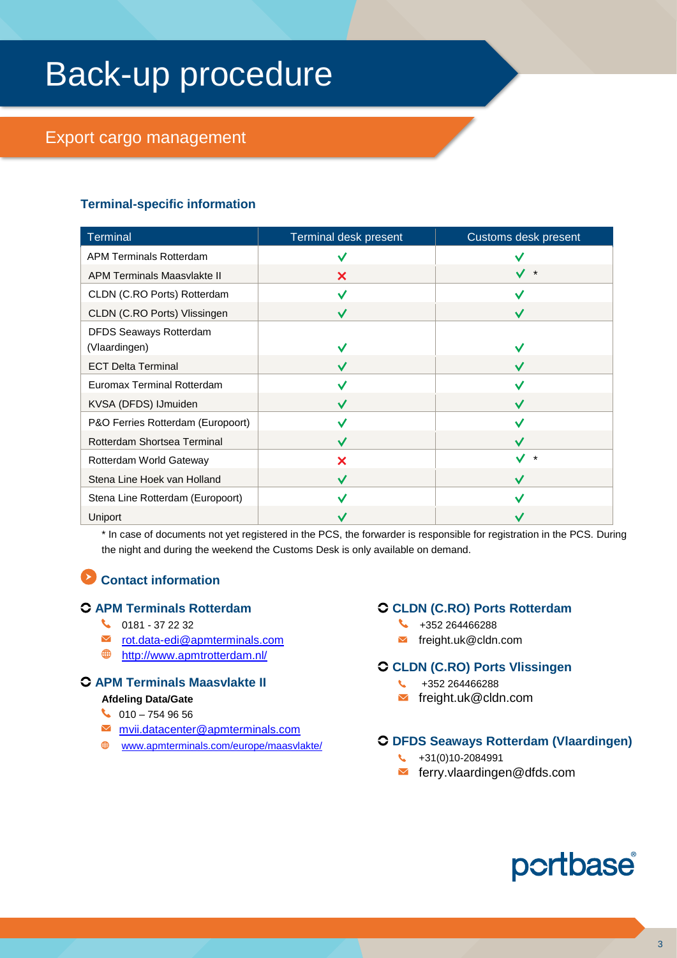# Back-up procedure

## Export cargo management

## **Terminal-specific information**

| <b>Terminal</b>                   | Terminal desk present | Customs desk present |
|-----------------------------------|-----------------------|----------------------|
| <b>APM Terminals Rotterdam</b>    |                       |                      |
| APM Terminals Maasvlakte II       | X                     | $\star$              |
| CLDN (C.RO Ports) Rotterdam       |                       |                      |
| CLDN (C.RO Ports) Vlissingen      | $\checkmark$          | ✓                    |
| DFDS Seaways Rotterdam            |                       |                      |
| (Vlaardingen)                     | V                     |                      |
| <b>ECT Delta Terminal</b>         | $\checkmark$          |                      |
| Euromax Terminal Rotterdam        |                       |                      |
| KVSA (DFDS) IJmuiden              | $\checkmark$          |                      |
| P&O Ferries Rotterdam (Europoort) |                       |                      |
| Rotterdam Shortsea Terminal       | $\checkmark$          |                      |
| Rotterdam World Gateway           | X                     | $\star$              |
| Stena Line Hoek van Holland       | $\checkmark$          |                      |
| Stena Line Rotterdam (Europoort)  |                       |                      |
| Uniport                           |                       |                      |

\* In case of documents not yet registered in the PCS, the forwarder is responsible for registration in the PCS. During the night and during the weekend the Customs Desk is only available on demand.

## **Contact information**

### **APM Terminals Rotterdam**

- $\begin{array}{cc} \bigcup_{10} 0181 372232 \end{array}$
- **■** [rot.data-edi@apmterminals.com](mailto:rot.data-edi@apmterminals.com)
- <http://www.apmtrotterdam.nl/>

## **APM Terminals Maasvlakte II**

#### **Afdeling Data/Gate**

- $\bigcup$  010 754 96 56
- [mvii.datacenter@apmterminals.com](mailto:mvii.datacenter@apmterminals.com)
- [www.apmterminals.com/europe/maasvlakte/](http://www.apmterminals.com/europe/maasvlakte/)

### **CLDN (C.RO) Ports Rotterdam**

- $\begin{matrix} \bigcup_{a} 4 & 352264466288 \end{matrix}$
- $\blacksquare$  freight.uk@cldn.com

### **CLDN (C.RO) Ports Vlissingen**

- $\begin{matrix} \begin{matrix} \bullet & \bullet & \bullet \\ \bullet & \bullet & \bullet \end{matrix} \end{matrix}$  +352 264466288
- freight.uk@cldn.com

### **DFDS Seaways Rotterdam (Vlaardingen)**

- $\begin{matrix} \begin{matrix} \bullet & +31(0)10 2084991 \end{matrix} \end{matrix}$
- ferry.vlaardingen@dfds.com

## portbase®